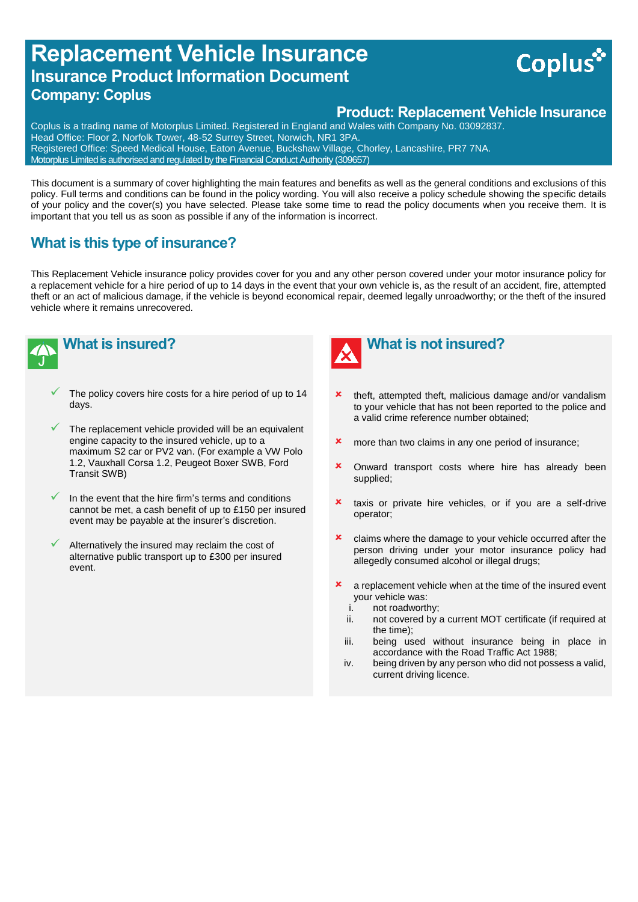# **Replacement Vehicle Insurance Insurance Product Information Document Company: Coplus**

## **Product: Replacement Vehicle Insurance**

**Coplus** 

Coplus is a trading name of Motorplus Limited. Registered in England and Wales with Company No. 03092837. Head Office: Floor 2, Norfolk Tower, 48-52 Surrey Street, Norwich, NR1 3PA. Registered Office: Speed Medical House, Eaton Avenue, Buckshaw Village, Chorley, Lancashire, PR7 7NA. Motorplus Limited is authorised and regulated by the Financial Conduct Authority (309657)

This document is a summary of cover highlighting the main features and benefits as well as the general conditions and exclusions of this policy. Full terms and conditions can be found in the policy wording. You will also receive a policy schedule showing the specific details of your policy and the cover(s) you have selected. Please take some time to read the policy documents when you receive them. It is important that you tell us as soon as possible if any of the information is incorrect.

## **What is this type of insurance?**

This Replacement Vehicle insurance policy provides cover for you and any other person covered under your motor insurance policy for a replacement vehicle for a hire period of up to 14 days in the event that your own vehicle is, as the result of an accident, fire, attempted theft or an act of malicious damage, if the vehicle is beyond economical repair, deemed legally unroadworthy; or the theft of the insured vehicle where it remains unrecovered.



**What is insured?**

- The policy covers hire costs for a hire period of up to 14 days.
- The replacement vehicle provided will be an equivalent engine capacity to the insured vehicle, up to a maximum S2 car or PV2 van. (For example a VW Polo 1.2, Vauxhall Corsa 1.2, Peugeot Boxer SWB, Ford Transit SWB)
- In the event that the hire firm's terms and conditions cannot be met, a cash benefit of up to £150 per insured event may be payable at the insurer's discretion.
- Alternatively the insured may reclaim the cost of alternative public transport up to £300 per insured event.



## **What is not insured?**

- theft, attempted theft, malicious damage and/or vandalism to your vehicle that has not been reported to the police and a valid crime reference number obtained;
- **x** more than two claims in any one period of insurance:
- **x** Onward transport costs where hire has already been supplied;
- **x** taxis or private hire vehicles, or if you are a self-drive operator;
- **x** claims where the damage to your vehicle occurred after the person driving under your motor insurance policy had allegedly consumed alcohol or illegal drugs;
- **x** a replacement vehicle when at the time of the insured event your vehicle was:
	- i. not roadworthy;
	- ii. not covered by a current MOT certificate (if required at the time);
	- iii. being used without insurance being in place in accordance with the Road Traffic Act 1988;
	- iv. being driven by any person who did not possess a valid, current driving licence.